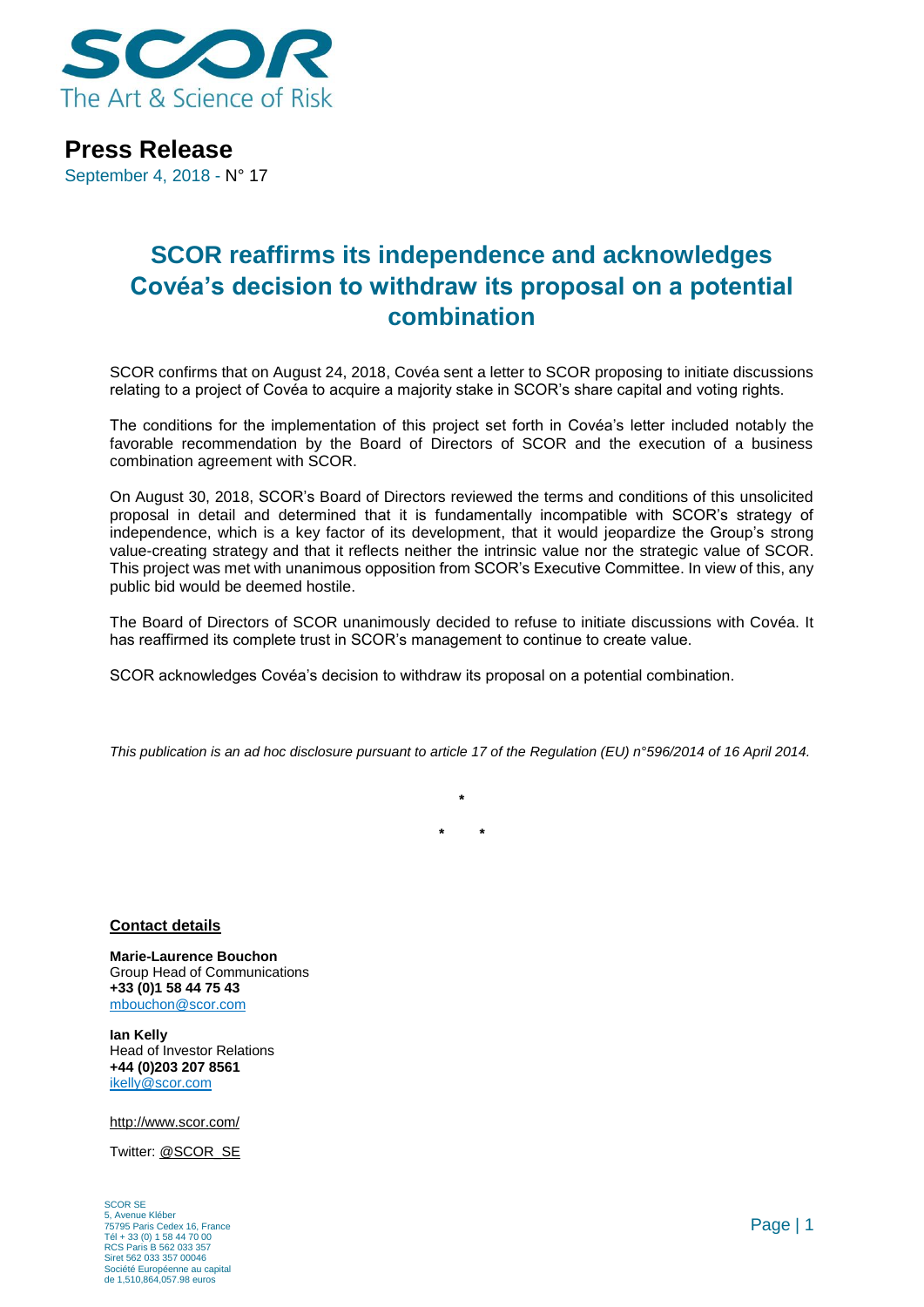

**Press Release** September 4, 2018 - N° 17

## **SCOR reaffirms its independence and acknowledges Covéa's decision to withdraw its proposal on a potential combination**

SCOR confirms that on August 24, 2018, Covéa sent a letter to SCOR proposing to initiate discussions relating to a project of Covéa to acquire a majority stake in SCOR's share capital and voting rights.

The conditions for the implementation of this project set forth in Covéa's letter included notably the favorable recommendation by the Board of Directors of SCOR and the execution of a business combination agreement with SCOR.

On August 30, 2018, SCOR's Board of Directors reviewed the terms and conditions of this unsolicited proposal in detail and determined that it is fundamentally incompatible with SCOR's strategy of independence, which is a key factor of its development, that it would jeopardize the Group's strong value-creating strategy and that it reflects neither the intrinsic value nor the strategic value of SCOR. This project was met with unanimous opposition from SCOR's Executive Committee. In view of this, any public bid would be deemed hostile.

The Board of Directors of SCOR unanimously decided to refuse to initiate discussions with Covéa. It has reaffirmed its complete trust in SCOR's management to continue to create value.

SCOR acknowledges Covéa's decision to withdraw its proposal on a potential combination.

*This publication is an ad hoc disclosure pursuant to article 17 of the Regulation (EU) n°596/2014 of 16 April 2014.*

**\* \* \***

**Contact details**

**Marie-Laurence Bouchon** Group Head of Communications **+33 (0)1 58 44 75 43** [mbouchon@scor.com](mailto:mbouchon@scor.com)

**Ian Kelly** Head of Investor Relations **+44 (0)203 207 8561** [ikelly@scor.com](mailto:ikelly@scor.com)

[http://www.scor.com/](http://www.scor.com/en/)

Twitter: [@SCOR\\_SE](https://twitter.com/SCOR_SE)

SCOR SE 5, Avenue Kléber 75795 Paris Cedex 16, France Tél + 33 (0) 1 58 44 70 00 RCS Paris B 562 033 357 Siret 562 033 357 00046 Société Européenne au capital de 1,510,864,057.98 euros